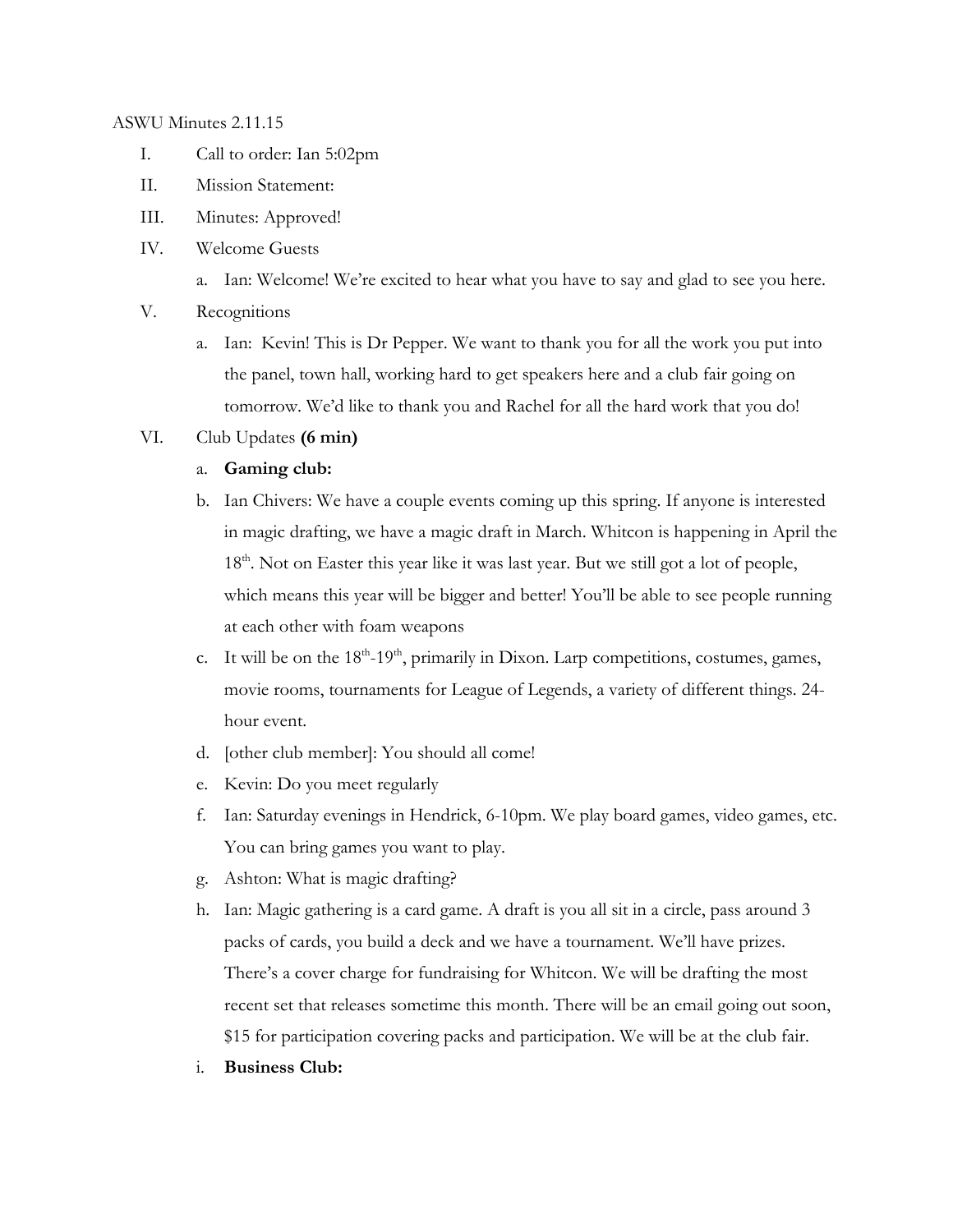### ASWU Minutes 2.11.15

- I. Call to order: Ian 5:02pm
- II. Mission Statement:
- III. Minutes: Approved!
- IV. Welcome Guests
	- a. Ian: Welcome! We're excited to hear what you have to say and glad to see you here.
- V. Recognitions
	- a. Ian: Kevin! This is Dr Pepper. We want to thank you for all the work you put into the panel, town hall, working hard to get speakers here and a club fair going on tomorrow. We'd like to thank you and Rachel for all the hard work that you do!
- VI. Club Updates **(6 min)**
	- a. **Gaming club:**
	- b. Ian Chivers: We have a couple events coming up this spring. If anyone is interested in magic drafting, we have a magic draft in March. Whitcon is happening in April the 18<sup>th</sup>. Not on Easter this year like it was last year. But we still got a lot of people, which means this year will be bigger and better! You'll be able to see people running at each other with foam weapons
	- c. It will be on the  $18<sup>th</sup>-19<sup>th</sup>$ , primarily in Dixon. Larp competitions, costumes, games, movie rooms, tournaments for League of Legends, a variety of different things. 24 hour event.
	- d. [other club member]: You should all come!
	- e. Kevin: Do you meet regularly
	- f. Ian: Saturday evenings in Hendrick, 6-10pm. We play board games, video games, etc. You can bring games you want to play.
	- g. Ashton: What is magic drafting?
	- h. Ian: Magic gathering is a card game. A draft is you all sit in a circle, pass around 3 packs of cards, you build a deck and we have a tournament. We'll have prizes. There's a cover charge for fundraising for Whitcon. We will be drafting the most recent set that releases sometime this month. There will be an email going out soon, \$15 for participation covering packs and participation. We will be at the club fair.
	- i. **Business Club:**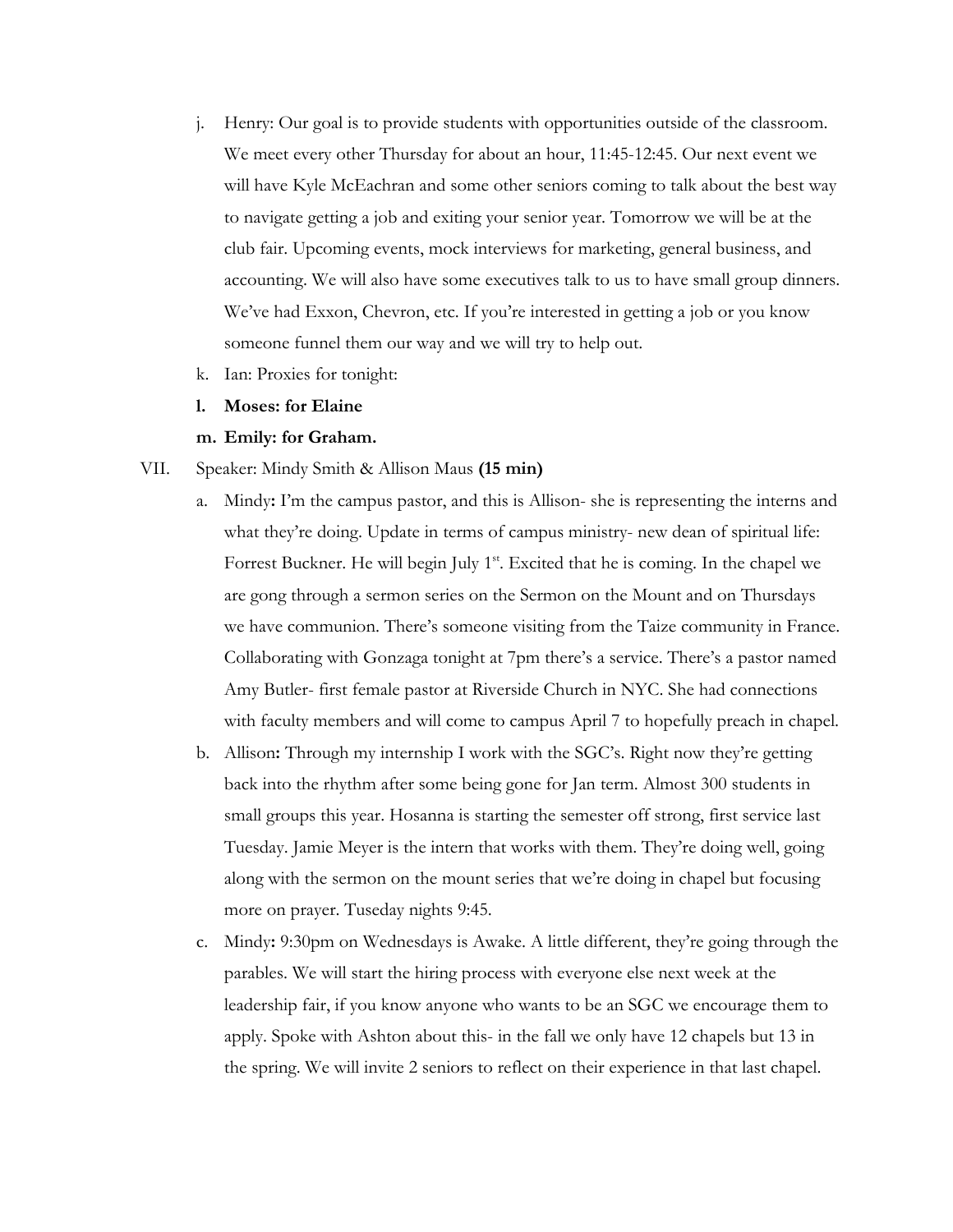- j. Henry: Our goal is to provide students with opportunities outside of the classroom. We meet every other Thursday for about an hour, 11:45-12:45. Our next event we will have Kyle McEachran and some other seniors coming to talk about the best way to navigate getting a job and exiting your senior year. Tomorrow we will be at the club fair. Upcoming events, mock interviews for marketing, general business, and accounting. We will also have some executives talk to us to have small group dinners. We've had Exxon, Chevron, etc. If you're interested in getting a job or you know someone funnel them our way and we will try to help out.
- k. Ian: Proxies for tonight:
- **l. Moses: for Elaine**

#### **m. Emily: for Graham.**

#### VII. Speaker: Mindy Smith & Allison Maus **(15 min)**

- a. Mindy**:** I'm the campus pastor, and this is Allison- she is representing the interns and what they're doing. Update in terms of campus ministry- new dean of spiritual life: Forrest Buckner. He will begin July  $1<sup>st</sup>$ . Excited that he is coming. In the chapel we are gong through a sermon series on the Sermon on the Mount and on Thursdays we have communion. There's someone visiting from the Taize community in France. Collaborating with Gonzaga tonight at 7pm there's a service. There's a pastor named Amy Butler- first female pastor at Riverside Church in NYC. She had connections with faculty members and will come to campus April 7 to hopefully preach in chapel.
- b. Allison**:** Through my internship I work with the SGC's. Right now they're getting back into the rhythm after some being gone for Jan term. Almost 300 students in small groups this year. Hosanna is starting the semester off strong, first service last Tuesday. Jamie Meyer is the intern that works with them. They're doing well, going along with the sermon on the mount series that we're doing in chapel but focusing more on prayer. Tuseday nights 9:45.
- c. Mindy**:** 9:30pm on Wednesdays is Awake. A little different, they're going through the parables. We will start the hiring process with everyone else next week at the leadership fair, if you know anyone who wants to be an SGC we encourage them to apply. Spoke with Ashton about this- in the fall we only have 12 chapels but 13 in the spring. We will invite 2 seniors to reflect on their experience in that last chapel.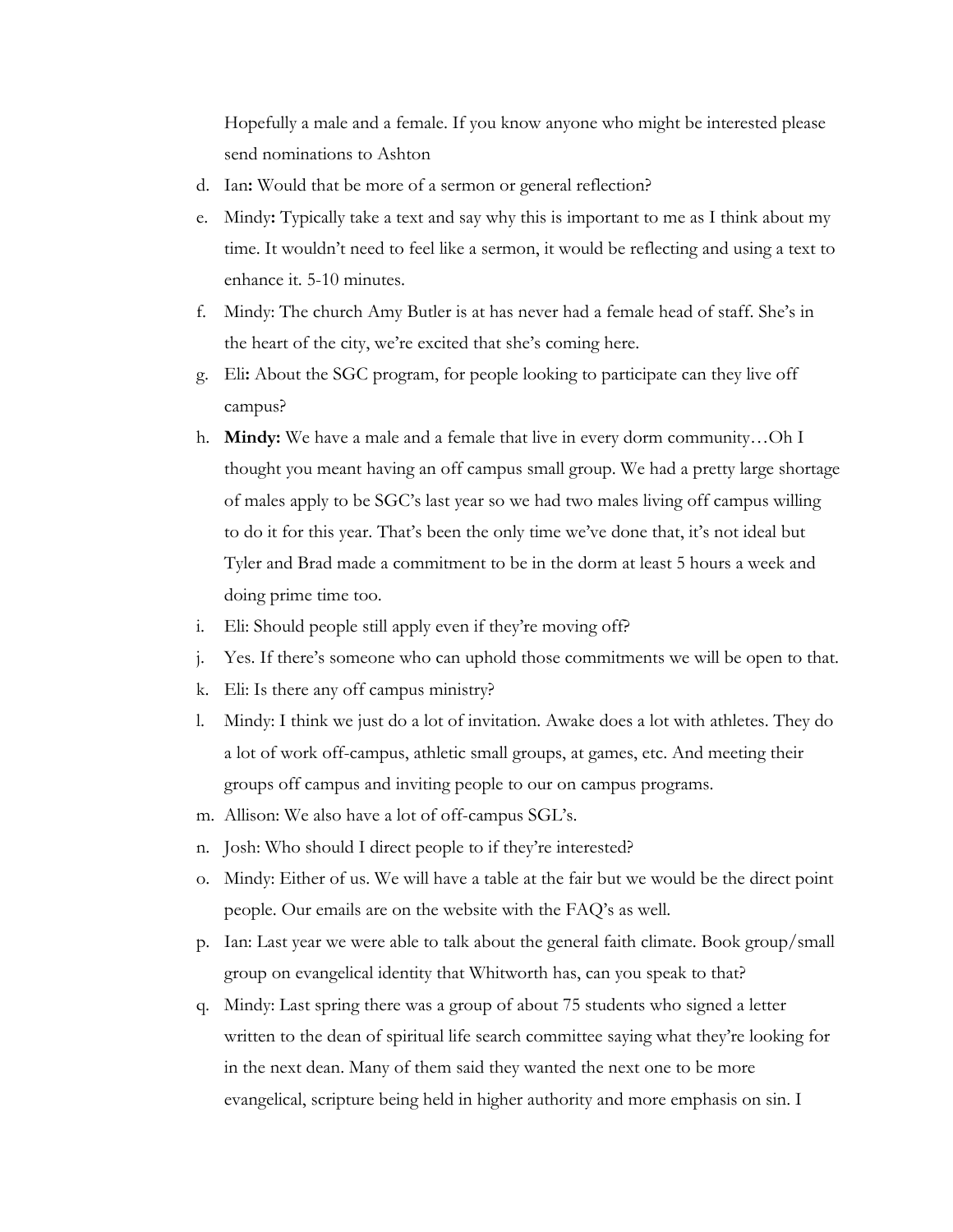Hopefully a male and a female. If you know anyone who might be interested please send nominations to Ashton

- d. Ian**:** Would that be more of a sermon or general reflection?
- e. Mindy**:** Typically take a text and say why this is important to me as I think about my time. It wouldn't need to feel like a sermon, it would be reflecting and using a text to enhance it. 5-10 minutes.
- f. Mindy: The church Amy Butler is at has never had a female head of staff. She's in the heart of the city, we're excited that she's coming here.
- g. Eli**:** About the SGC program, for people looking to participate can they live off campus?
- h. **Mindy:** We have a male and a female that live in every dorm community…Oh I thought you meant having an off campus small group. We had a pretty large shortage of males apply to be SGC's last year so we had two males living off campus willing to do it for this year. That's been the only time we've done that, it's not ideal but Tyler and Brad made a commitment to be in the dorm at least 5 hours a week and doing prime time too.
- i. Eli: Should people still apply even if they're moving off?
- j. Yes. If there's someone who can uphold those commitments we will be open to that.
- k. Eli: Is there any off campus ministry?
- l. Mindy: I think we just do a lot of invitation. Awake does a lot with athletes. They do a lot of work off-campus, athletic small groups, at games, etc. And meeting their groups off campus and inviting people to our on campus programs.
- m. Allison: We also have a lot of off-campus SGL's.
- n. Josh: Who should I direct people to if they're interested?
- o. Mindy: Either of us. We will have a table at the fair but we would be the direct point people. Our emails are on the website with the FAQ's as well.
- p. Ian: Last year we were able to talk about the general faith climate. Book group/small group on evangelical identity that Whitworth has, can you speak to that?
- q. Mindy: Last spring there was a group of about 75 students who signed a letter written to the dean of spiritual life search committee saying what they're looking for in the next dean. Many of them said they wanted the next one to be more evangelical, scripture being held in higher authority and more emphasis on sin. I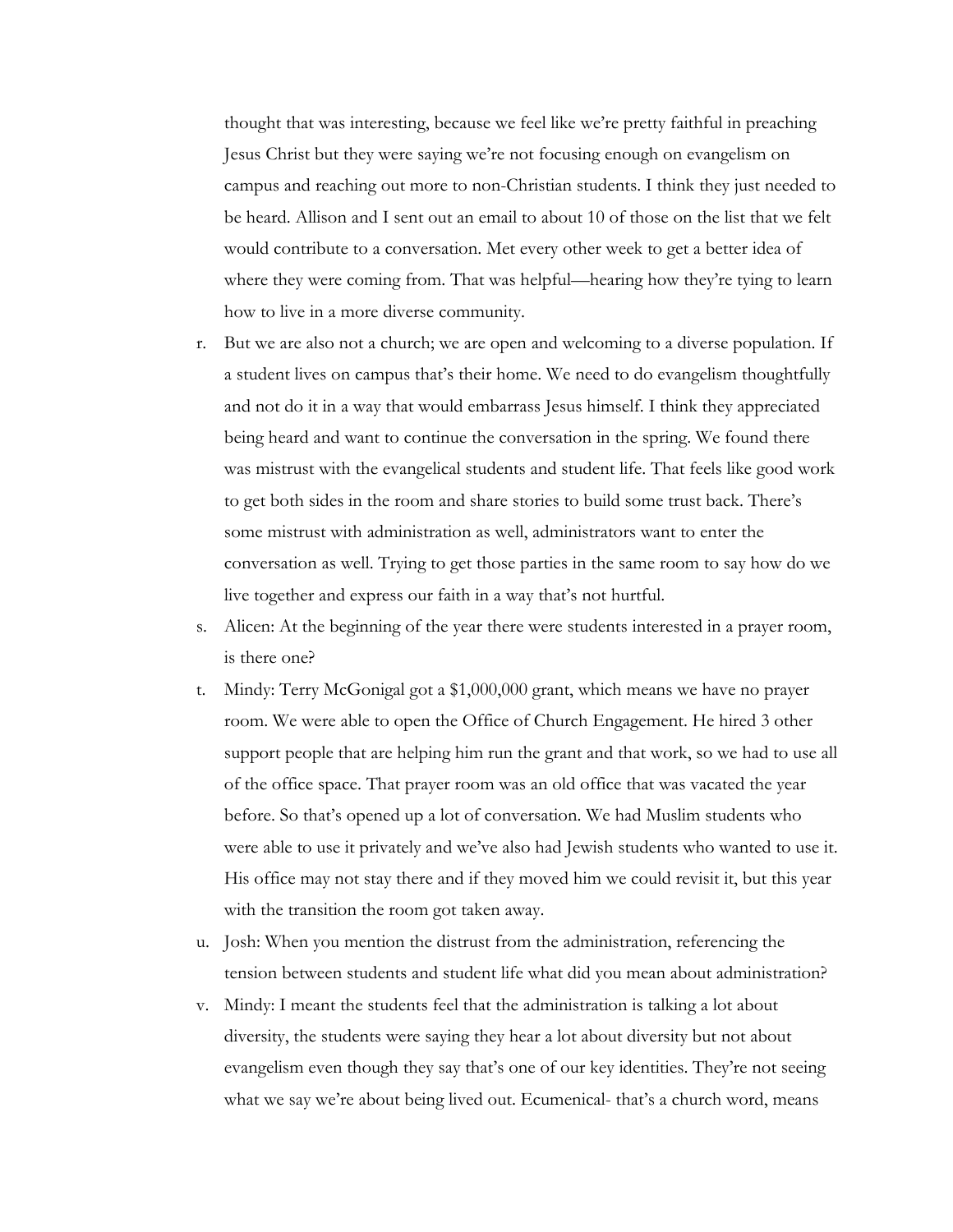thought that was interesting, because we feel like we're pretty faithful in preaching Jesus Christ but they were saying we're not focusing enough on evangelism on campus and reaching out more to non-Christian students. I think they just needed to be heard. Allison and I sent out an email to about 10 of those on the list that we felt would contribute to a conversation. Met every other week to get a better idea of where they were coming from. That was helpful—hearing how they're tying to learn how to live in a more diverse community.

- r. But we are also not a church; we are open and welcoming to a diverse population. If a student lives on campus that's their home. We need to do evangelism thoughtfully and not do it in a way that would embarrass Jesus himself. I think they appreciated being heard and want to continue the conversation in the spring. We found there was mistrust with the evangelical students and student life. That feels like good work to get both sides in the room and share stories to build some trust back. There's some mistrust with administration as well, administrators want to enter the conversation as well. Trying to get those parties in the same room to say how do we live together and express our faith in a way that's not hurtful.
- s. Alicen: At the beginning of the year there were students interested in a prayer room, is there one?
- t. Mindy: Terry McGonigal got a \$1,000,000 grant, which means we have no prayer room. We were able to open the Office of Church Engagement. He hired 3 other support people that are helping him run the grant and that work, so we had to use all of the office space. That prayer room was an old office that was vacated the year before. So that's opened up a lot of conversation. We had Muslim students who were able to use it privately and we've also had Jewish students who wanted to use it. His office may not stay there and if they moved him we could revisit it, but this year with the transition the room got taken away.
- u. Josh: When you mention the distrust from the administration, referencing the tension between students and student life what did you mean about administration?
- v. Mindy: I meant the students feel that the administration is talking a lot about diversity, the students were saying they hear a lot about diversity but not about evangelism even though they say that's one of our key identities. They're not seeing what we say we're about being lived out. Ecumenical-that's a church word, means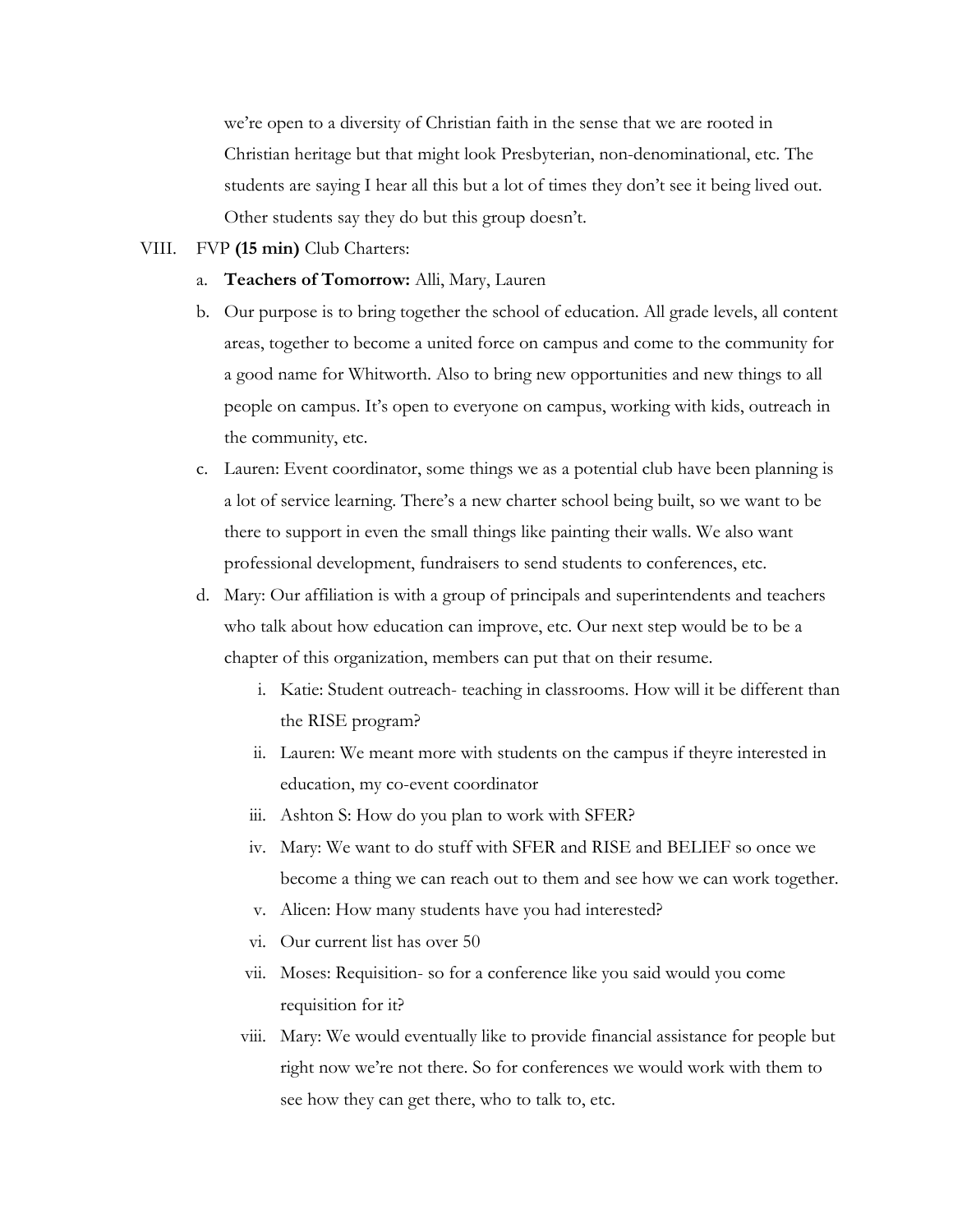we're open to a diversity of Christian faith in the sense that we are rooted in Christian heritage but that might look Presbyterian, non-denominational, etc. The students are saying I hear all this but a lot of times they don't see it being lived out. Other students say they do but this group doesn't.

### VIII. FVP **(15 min)** Club Charters:

- a. **Teachers of Tomorrow:** Alli, Mary, Lauren
- b. Our purpose is to bring together the school of education. All grade levels, all content areas, together to become a united force on campus and come to the community for a good name for Whitworth. Also to bring new opportunities and new things to all people on campus. It's open to everyone on campus, working with kids, outreach in the community, etc.
- c. Lauren: Event coordinator, some things we as a potential club have been planning is a lot of service learning. There's a new charter school being built, so we want to be there to support in even the small things like painting their walls. We also want professional development, fundraisers to send students to conferences, etc.
- d. Mary: Our affiliation is with a group of principals and superintendents and teachers who talk about how education can improve, etc. Our next step would be to be a chapter of this organization, members can put that on their resume.
	- i. Katie: Student outreach- teaching in classrooms. How will it be different than the RISE program?
	- ii. Lauren: We meant more with students on the campus if theyre interested in education, my co-event coordinator
	- iii. Ashton S: How do you plan to work with SFER?
	- iv. Mary: We want to do stuff with SFER and RISE and BELIEF so once we become a thing we can reach out to them and see how we can work together.
	- v. Alicen: How many students have you had interested?
	- vi. Our current list has over 50
	- vii. Moses: Requisition- so for a conference like you said would you come requisition for it?
	- viii. Mary: We would eventually like to provide financial assistance for people but right now we're not there. So for conferences we would work with them to see how they can get there, who to talk to, etc.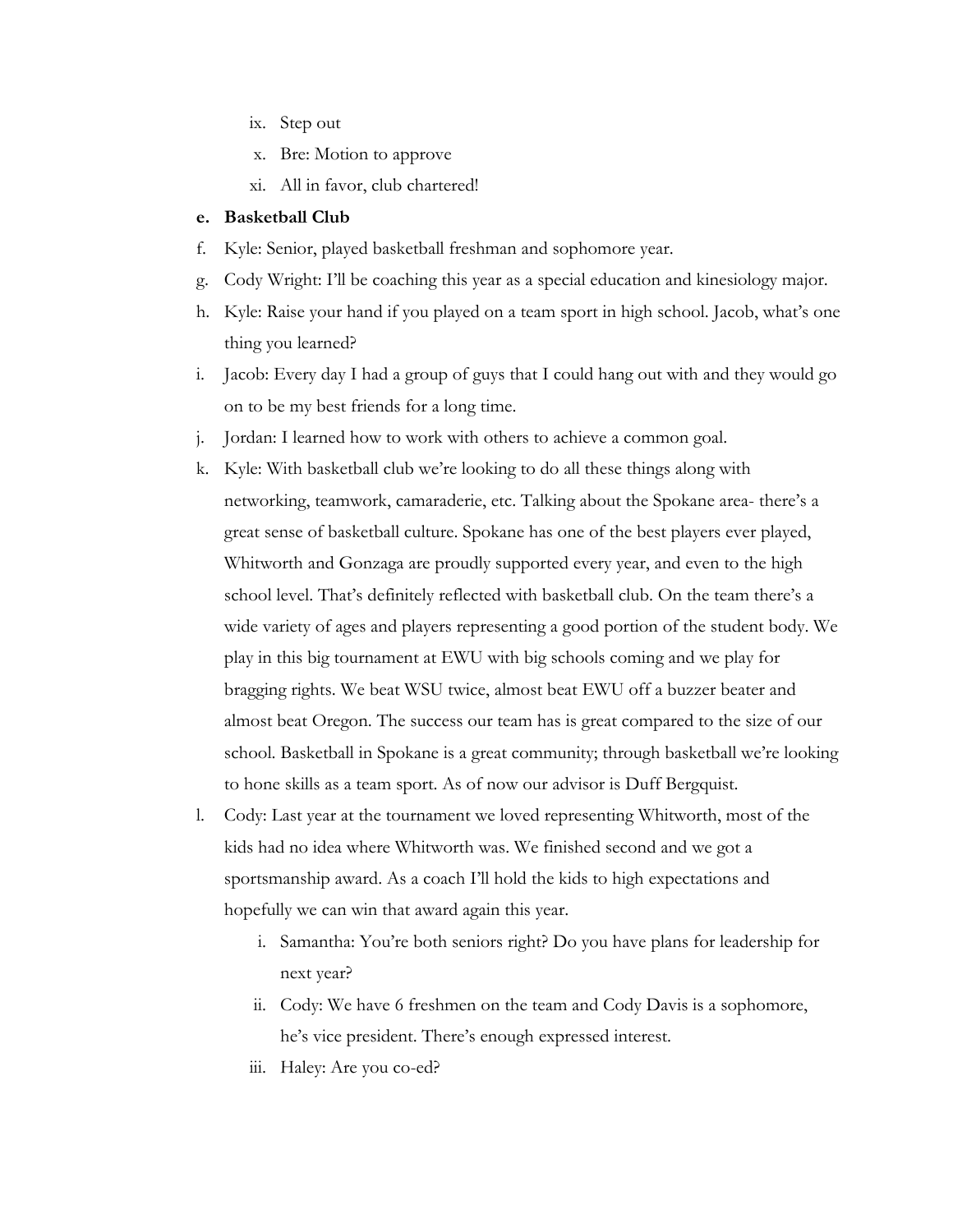- ix. Step out
- x. Bre: Motion to approve
- xi. All in favor, club chartered!

### **e. Basketball Club**

- f. Kyle: Senior, played basketball freshman and sophomore year.
- g. Cody Wright: I'll be coaching this year as a special education and kinesiology major.
- h. Kyle: Raise your hand if you played on a team sport in high school. Jacob, what's one thing you learned?
- i. Jacob: Every day I had a group of guys that I could hang out with and they would go on to be my best friends for a long time.
- j. Jordan: I learned how to work with others to achieve a common goal.
- k. Kyle: With basketball club we're looking to do all these things along with networking, teamwork, camaraderie, etc. Talking about the Spokane area- there's a great sense of basketball culture. Spokane has one of the best players ever played, Whitworth and Gonzaga are proudly supported every year, and even to the high school level. That's definitely reflected with basketball club. On the team there's a wide variety of ages and players representing a good portion of the student body. We play in this big tournament at EWU with big schools coming and we play for bragging rights. We beat WSU twice, almost beat EWU off a buzzer beater and almost beat Oregon. The success our team has is great compared to the size of our school. Basketball in Spokane is a great community; through basketball we're looking to hone skills as a team sport. As of now our advisor is Duff Bergquist.
- l. Cody: Last year at the tournament we loved representing Whitworth, most of the kids had no idea where Whitworth was. We finished second and we got a sportsmanship award. As a coach I'll hold the kids to high expectations and hopefully we can win that award again this year.
	- i. Samantha: You're both seniors right? Do you have plans for leadership for next year?
	- ii. Cody: We have 6 freshmen on the team and Cody Davis is a sophomore, he's vice president. There's enough expressed interest.
	- iii. Haley: Are you co-ed?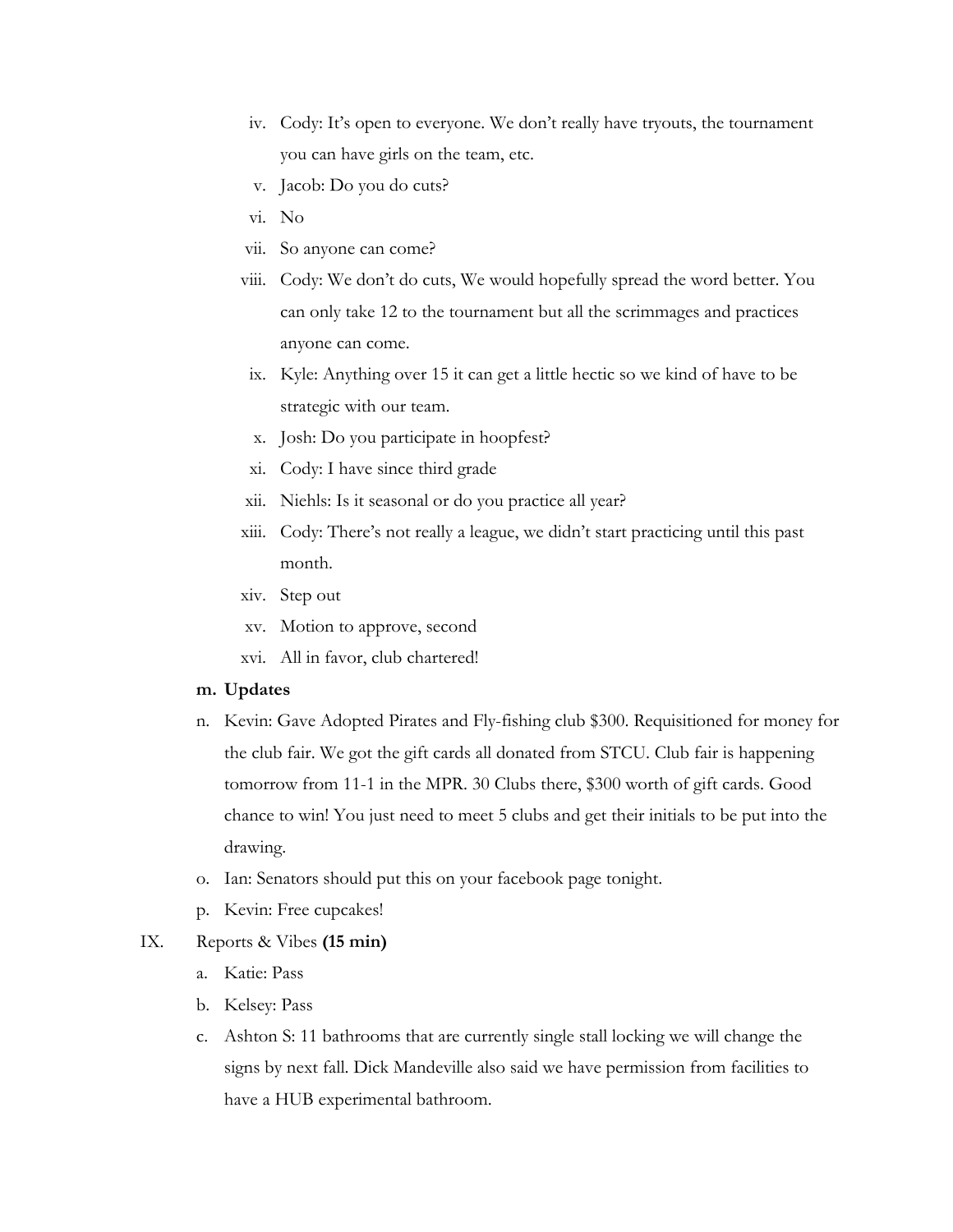- iv. Cody: It's open to everyone. We don't really have tryouts, the tournament you can have girls on the team, etc.
- v. Jacob: Do you do cuts?
- vi. No
- vii. So anyone can come?
- viii. Cody: We don't do cuts, We would hopefully spread the word better. You can only take 12 to the tournament but all the scrimmages and practices anyone can come.
- ix. Kyle: Anything over 15 it can get a little hectic so we kind of have to be strategic with our team.
- x. Josh: Do you participate in hoopfest?
- xi. Cody: I have since third grade
- xii. Niehls: Is it seasonal or do you practice all year?
- xiii. Cody: There's not really a league, we didn't start practicing until this past month.
- xiv. Step out
- xv. Motion to approve, second
- xvi. All in favor, club chartered!

### **m. Updates**

- n. Kevin: Gave Adopted Pirates and Fly-fishing club \$300. Requisitioned for money for the club fair. We got the gift cards all donated from STCU. Club fair is happening tomorrow from 11-1 in the MPR. 30 Clubs there, \$300 worth of gift cards. Good chance to win! You just need to meet 5 clubs and get their initials to be put into the drawing.
- o. Ian: Senators should put this on your facebook page tonight.
- p. Kevin: Free cupcakes!

## IX. Reports & Vibes **(15 min)**

- a. Katie: Pass
- b. Kelsey: Pass
- c. Ashton S: 11 bathrooms that are currently single stall locking we will change the signs by next fall. Dick Mandeville also said we have permission from facilities to have a HUB experimental bathroom.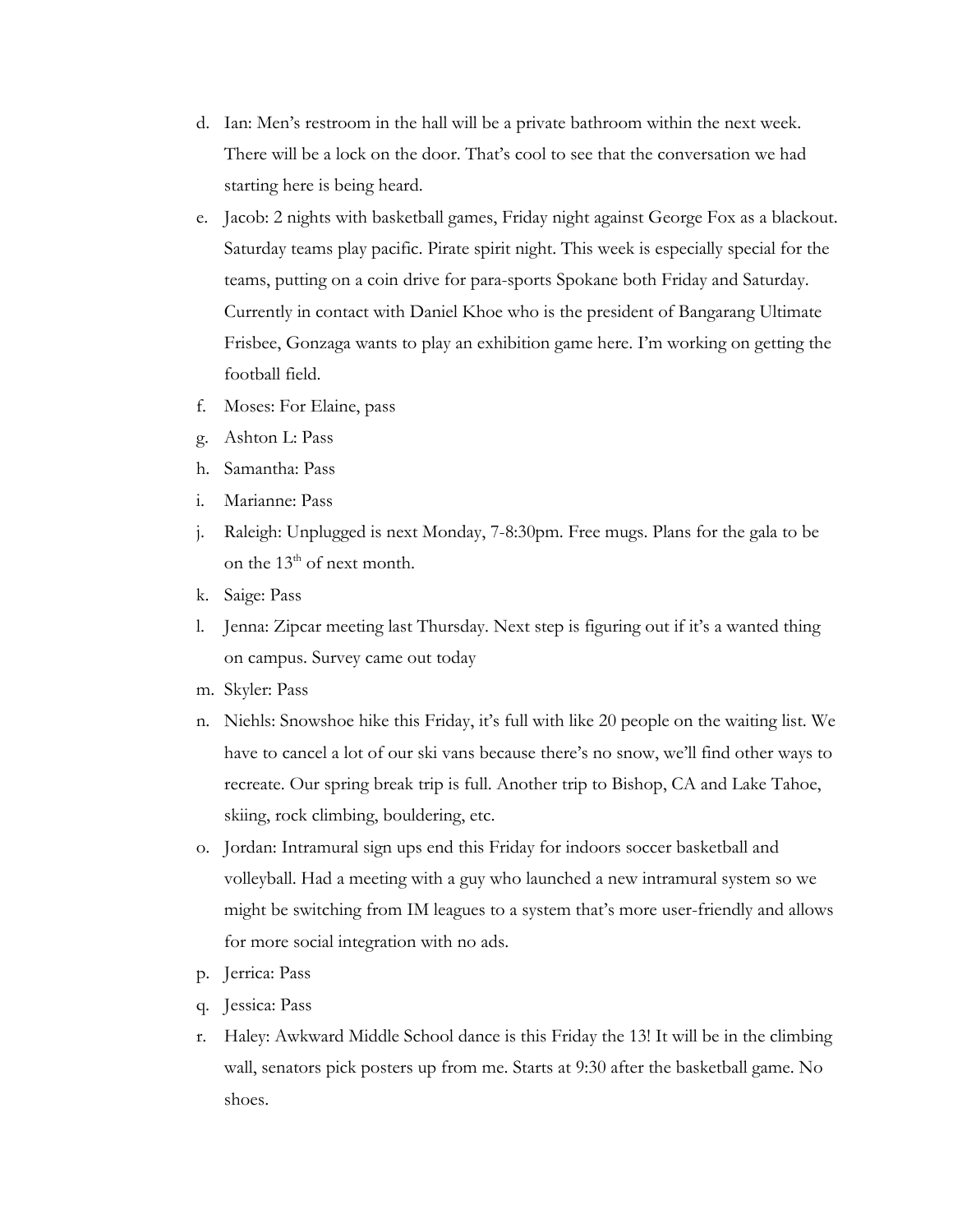- d. Ian: Men's restroom in the hall will be a private bathroom within the next week. There will be a lock on the door. That's cool to see that the conversation we had starting here is being heard.
- e. Jacob: 2 nights with basketball games, Friday night against George Fox as a blackout. Saturday teams play pacific. Pirate spirit night. This week is especially special for the teams, putting on a coin drive for para-sports Spokane both Friday and Saturday. Currently in contact with Daniel Khoe who is the president of Bangarang Ultimate Frisbee, Gonzaga wants to play an exhibition game here. I'm working on getting the football field.
- f. Moses: For Elaine, pass
- g. Ashton L: Pass
- h. Samantha: Pass
- i. Marianne: Pass
- j. Raleigh: Unplugged is next Monday, 7-8:30pm. Free mugs. Plans for the gala to be on the  $13<sup>th</sup>$  of next month.
- k. Saige: Pass
- l. Jenna: Zipcar meeting last Thursday. Next step is figuring out if it's a wanted thing on campus. Survey came out today
- m. Skyler: Pass
- n. Niehls: Snowshoe hike this Friday, it's full with like 20 people on the waiting list. We have to cancel a lot of our ski vans because there's no snow, we'll find other ways to recreate. Our spring break trip is full. Another trip to Bishop, CA and Lake Tahoe, skiing, rock climbing, bouldering, etc.
- o. Jordan: Intramural sign ups end this Friday for indoors soccer basketball and volleyball. Had a meeting with a guy who launched a new intramural system so we might be switching from IM leagues to a system that's more user-friendly and allows for more social integration with no ads.
- p. Jerrica: Pass
- q. Jessica: Pass
- r. Haley: Awkward Middle School dance is this Friday the 13! It will be in the climbing wall, senators pick posters up from me. Starts at 9:30 after the basketball game. No shoes.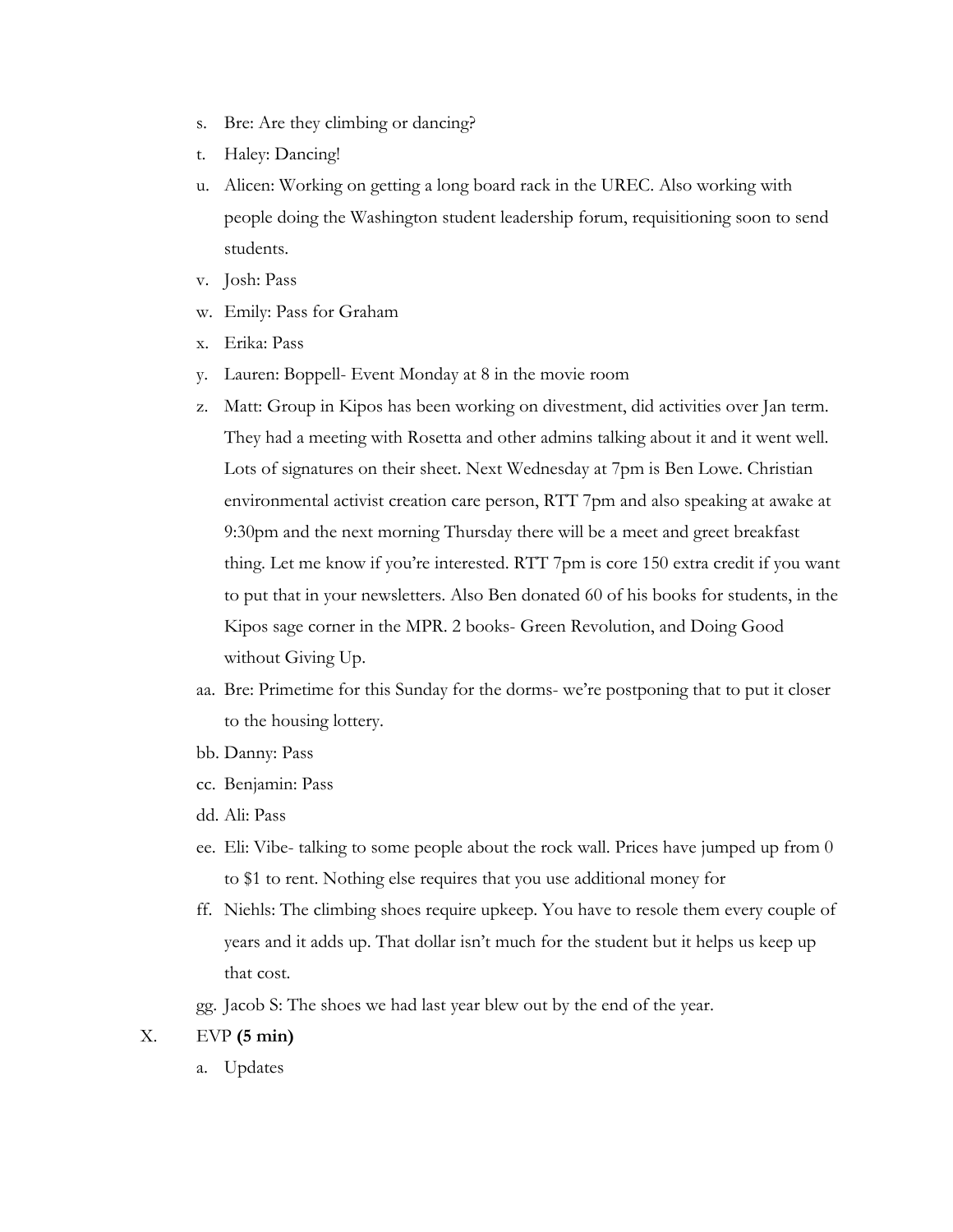- s. Bre: Are they climbing or dancing?
- t. Haley: Dancing!
- u. Alicen: Working on getting a long board rack in the UREC. Also working with people doing the Washington student leadership forum, requisitioning soon to send students.
- v. Josh: Pass
- w. Emily: Pass for Graham
- x. Erika: Pass
- y. Lauren: Boppell- Event Monday at 8 in the movie room
- z. Matt: Group in Kipos has been working on divestment, did activities over Jan term. They had a meeting with Rosetta and other admins talking about it and it went well. Lots of signatures on their sheet. Next Wednesday at 7pm is Ben Lowe. Christian environmental activist creation care person, RTT 7pm and also speaking at awake at 9:30pm and the next morning Thursday there will be a meet and greet breakfast thing. Let me know if you're interested. RTT 7pm is core 150 extra credit if you want to put that in your newsletters. Also Ben donated 60 of his books for students, in the Kipos sage corner in the MPR. 2 books- Green Revolution, and Doing Good without Giving Up.
- aa. Bre: Primetime for this Sunday for the dorms- we're postponing that to put it closer to the housing lottery.
- bb. Danny: Pass
- cc. Benjamin: Pass
- dd. Ali: Pass
- ee. Eli: Vibe- talking to some people about the rock wall. Prices have jumped up from 0 to \$1 to rent. Nothing else requires that you use additional money for
- ff. Niehls: The climbing shoes require upkeep. You have to resole them every couple of years and it adds up. That dollar isn't much for the student but it helps us keep up that cost.

gg. Jacob S: The shoes we had last year blew out by the end of the year.

## X. EVP **(5 min)**

a. Updates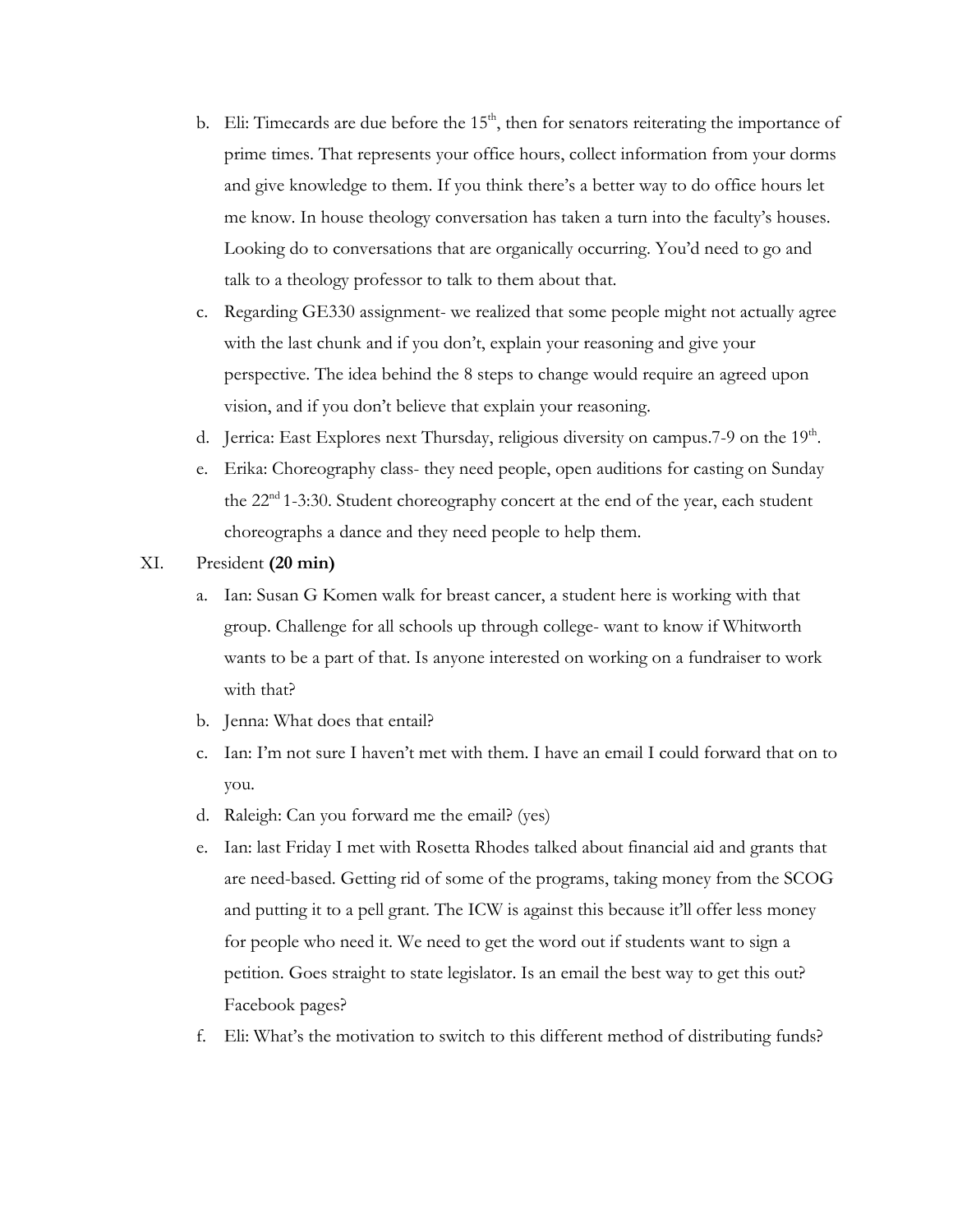- b. Eli: Timecards are due before the  $15<sup>th</sup>$ , then for senators reiterating the importance of prime times. That represents your office hours, collect information from your dorms and give knowledge to them. If you think there's a better way to do office hours let me know. In house theology conversation has taken a turn into the faculty's houses. Looking do to conversations that are organically occurring. You'd need to go and talk to a theology professor to talk to them about that.
- c. Regarding GE330 assignment- we realized that some people might not actually agree with the last chunk and if you don't, explain your reasoning and give your perspective. The idea behind the 8 steps to change would require an agreed upon vision, and if you don't believe that explain your reasoning.
- d. Jerrica: East Explores next Thursday, religious diversity on campus. 7-9 on the 19<sup>th</sup>.
- e. Erika: Choreography class- they need people, open auditions for casting on Sunday the 22<sup>nd</sup> 1-3:30. Student choreography concert at the end of the year, each student choreographs a dance and they need people to help them.

# XI. President **(20 min)**

- a. Ian: Susan G Komen walk for breast cancer, a student here is working with that group. Challenge for all schools up through college- want to know if Whitworth wants to be a part of that. Is anyone interested on working on a fundraiser to work with that?
- b. Jenna: What does that entail?
- c. Ian: I'm not sure I haven't met with them. I have an email I could forward that on to you.
- d. Raleigh: Can you forward me the email? (yes)
- e. Ian: last Friday I met with Rosetta Rhodes talked about financial aid and grants that are need-based. Getting rid of some of the programs, taking money from the SCOG and putting it to a pell grant. The ICW is against this because it'll offer less money for people who need it. We need to get the word out if students want to sign a petition. Goes straight to state legislator. Is an email the best way to get this out? Facebook pages?
- f. Eli: What's the motivation to switch to this different method of distributing funds?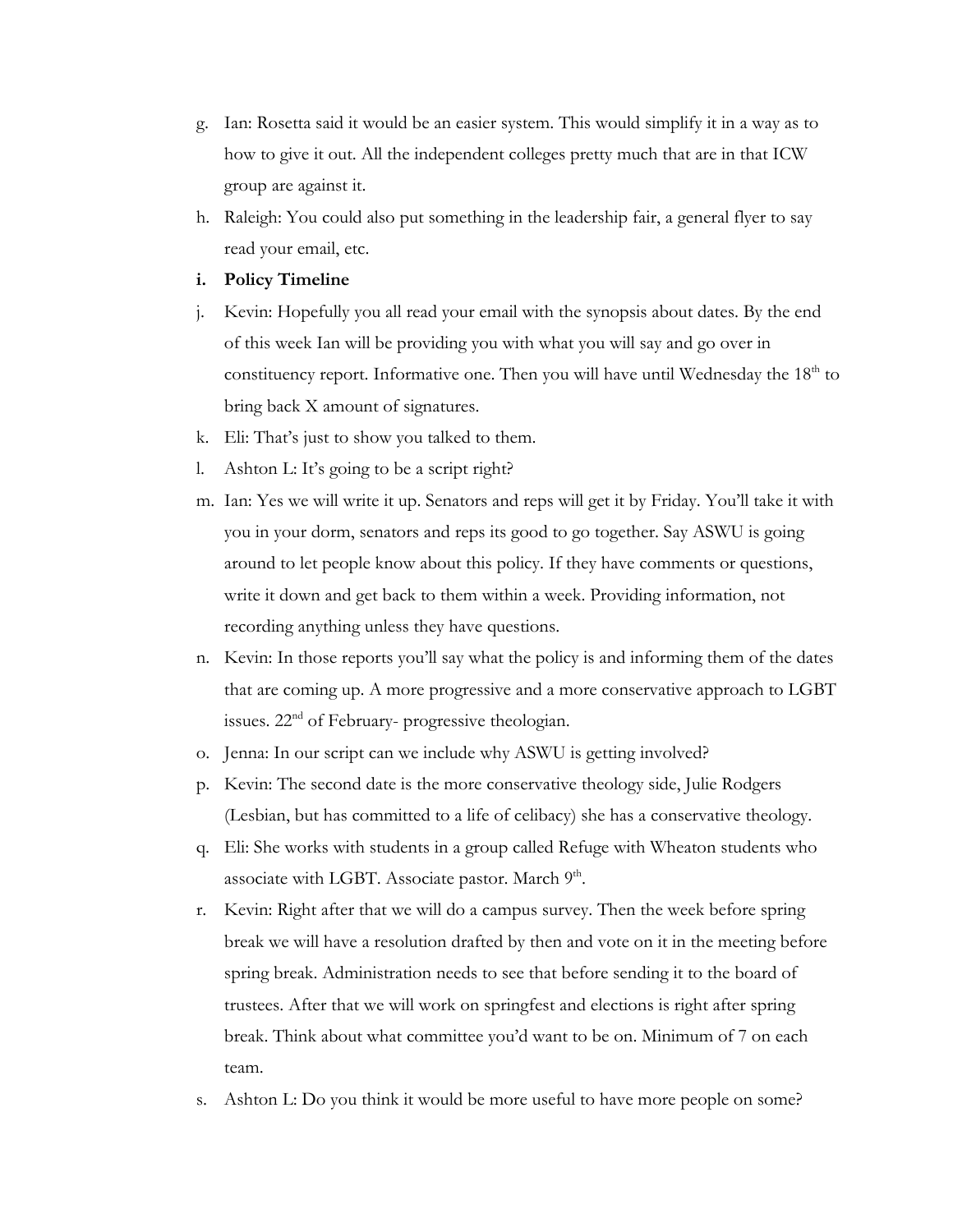- g. Ian: Rosetta said it would be an easier system. This would simplify it in a way as to how to give it out. All the independent colleges pretty much that are in that ICW group are against it.
- h. Raleigh: You could also put something in the leadership fair, a general flyer to say read your email, etc.
- **i. Policy Timeline**
- j. Kevin: Hopefully you all read your email with the synopsis about dates. By the end of this week Ian will be providing you with what you will say and go over in constituency report. Informative one. Then you will have until Wednesday the 18<sup>th</sup> to bring back X amount of signatures.
- k. Eli: That's just to show you talked to them.
- l. Ashton L: It's going to be a script right?
- m. Ian: Yes we will write it up. Senators and reps will get it by Friday. You'll take it with you in your dorm, senators and reps its good to go together. Say ASWU is going around to let people know about this policy. If they have comments or questions, write it down and get back to them within a week. Providing information, not recording anything unless they have questions.
- n. Kevin: In those reports you'll say what the policy is and informing them of the dates that are coming up. A more progressive and a more conservative approach to LGBT issues. 22<sup>nd</sup> of February- progressive theologian.
- o. Jenna: In our script can we include why ASWU is getting involved?
- p. Kevin: The second date is the more conservative theology side, Julie Rodgers (Lesbian, but has committed to a life of celibacy) she has a conservative theology.
- q. Eli: She works with students in a group called Refuge with Wheaton students who associate with LGBT. Associate pastor. March  $9<sup>th</sup>$ .
- r. Kevin: Right after that we will do a campus survey. Then the week before spring break we will have a resolution drafted by then and vote on it in the meeting before spring break. Administration needs to see that before sending it to the board of trustees. After that we will work on springfest and elections is right after spring break. Think about what committee you'd want to be on. Minimum of 7 on each team.
- s. Ashton L: Do you think it would be more useful to have more people on some?